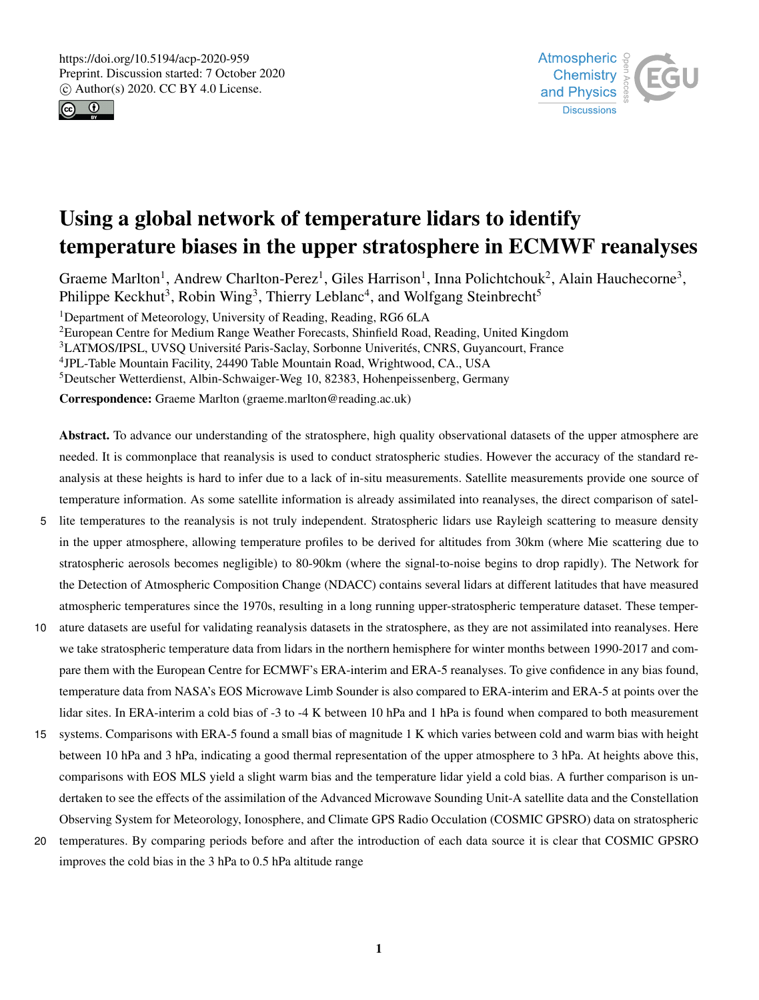



# Using a global network of temperature lidars to identify temperature biases in the upper stratosphere in ECMWF reanalyses

Graeme Marlton<sup>1</sup>, Andrew Charlton-Perez<sup>1</sup>, Giles Harrison<sup>1</sup>, Inna Polichtchouk<sup>2</sup>, Alain Hauchecorne<sup>3</sup>, Philippe Keckhut<sup>3</sup>, Robin Wing<sup>3</sup>, Thierry Leblanc<sup>4</sup>, and Wolfgang Steinbrecht<sup>5</sup>

<sup>1</sup>Department of Meteorology, University of Reading, Reading, RG6 6LA

<sup>2</sup>European Centre for Medium Range Weather Forecasts, Shinfield Road, Reading, United Kingdom

<sup>3</sup>LATMOS/IPSL, UVSQ Université Paris-Saclay, Sorbonne Univerités, CNRS, Guyancourt, France

4 JPL-Table Mountain Facility, 24490 Table Mountain Road, Wrightwood, CA., USA

<sup>5</sup>Deutscher Wetterdienst, Albin-Schwaiger-Weg 10, 82383, Hohenpeissenberg, Germany

Correspondence: Graeme Marlton (graeme.marlton@reading.ac.uk)

Abstract. To advance our understanding of the stratosphere, high quality observational datasets of the upper atmosphere are needed. It is commonplace that reanalysis is used to conduct stratospheric studies. However the accuracy of the standard reanalysis at these heights is hard to infer due to a lack of in-situ measurements. Satellite measurements provide one source of temperature information. As some satellite information is already assimilated into reanalyses, the direct comparison of satel-

- 5 lite temperatures to the reanalysis is not truly independent. Stratospheric lidars use Rayleigh scattering to measure density in the upper atmosphere, allowing temperature profiles to be derived for altitudes from 30km (where Mie scattering due to stratospheric aerosols becomes negligible) to 80-90km (where the signal-to-noise begins to drop rapidly). The Network for the Detection of Atmospheric Composition Change (NDACC) contains several lidars at different latitudes that have measured atmospheric temperatures since the 1970s, resulting in a long running upper-stratospheric temperature dataset. These temper-
- 10 ature datasets are useful for validating reanalysis datasets in the stratosphere, as they are not assimilated into reanalyses. Here we take stratospheric temperature data from lidars in the northern hemisphere for winter months between 1990-2017 and compare them with the European Centre for ECMWF's ERA-interim and ERA-5 reanalyses. To give confidence in any bias found, temperature data from NASA's EOS Microwave Limb Sounder is also compared to ERA-interim and ERA-5 at points over the lidar sites. In ERA-interim a cold bias of -3 to -4 K between 10 hPa and 1 hPa is found when compared to both measurement
- 15 systems. Comparisons with ERA-5 found a small bias of magnitude 1 K which varies between cold and warm bias with height between 10 hPa and 3 hPa, indicating a good thermal representation of the upper atmosphere to 3 hPa. At heights above this, comparisons with EOS MLS yield a slight warm bias and the temperature lidar yield a cold bias. A further comparison is undertaken to see the effects of the assimilation of the Advanced Microwave Sounding Unit-A satellite data and the Constellation Observing System for Meteorology, Ionosphere, and Climate GPS Radio Occulation (COSMIC GPSRO) data on stratospheric
- 20 temperatures. By comparing periods before and after the introduction of each data source it is clear that COSMIC GPSRO improves the cold bias in the 3 hPa to 0.5 hPa altitude range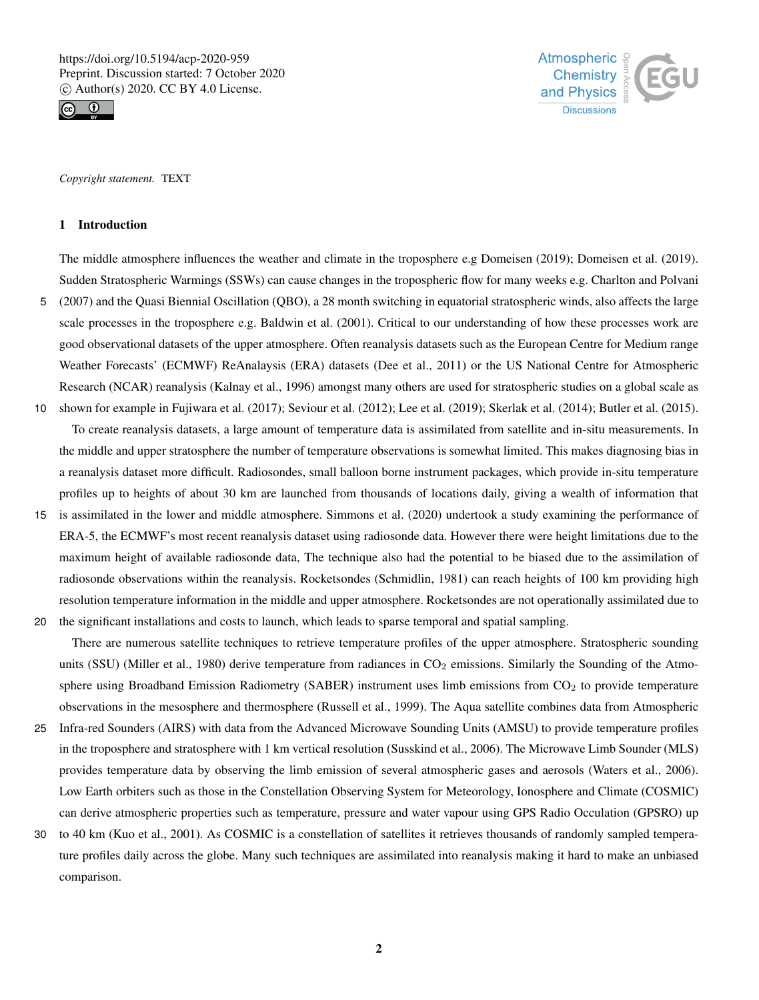



*Copyright statement.* TEXT

#### 1 Introduction

The middle atmosphere influences the weather and climate in the troposphere e.g Domeisen (2019); Domeisen et al. (2019). Sudden Stratospheric Warmings (SSWs) can cause changes in the tropospheric flow for many weeks e.g. Charlton and Polvani 5 (2007) and the Quasi Biennial Oscillation (QBO), a 28 month switching in equatorial stratospheric winds, also affects the large scale processes in the troposphere e.g. Baldwin et al. (2001). Critical to our understanding of how these processes work are good observational datasets of the upper atmosphere. Often reanalysis datasets such as the European Centre for Medium range Weather Forecasts' (ECMWF) ReAnalaysis (ERA) datasets (Dee et al., 2011) or the US National Centre for Atmospheric Research (NCAR) reanalysis (Kalnay et al., 1996) amongst many others are used for stratospheric studies on a global scale as 10 shown for example in Fujiwara et al. (2017); Seviour et al. (2012); Lee et al. (2019); Skerlak et al. (2014); Butler et al. (2015).

To create reanalysis datasets, a large amount of temperature data is assimilated from satellite and in-situ measurements. In the middle and upper stratosphere the number of temperature observations is somewhat limited. This makes diagnosing bias in a reanalysis dataset more difficult. Radiosondes, small balloon borne instrument packages, which provide in-situ temperature profiles up to heights of about 30 km are launched from thousands of locations daily, giving a wealth of information that

15 is assimilated in the lower and middle atmosphere. Simmons et al. (2020) undertook a study examining the performance of ERA-5, the ECMWF's most recent reanalysis dataset using radiosonde data. However there were height limitations due to the maximum height of available radiosonde data, The technique also had the potential to be biased due to the assimilation of radiosonde observations within the reanalysis. Rocketsondes (Schmidlin, 1981) can reach heights of 100 km providing high resolution temperature information in the middle and upper atmosphere. Rocketsondes are not operationally assimilated due to 20 the significant installations and costs to launch, which leads to sparse temporal and spatial sampling.

There are numerous satellite techniques to retrieve temperature profiles of the upper atmosphere. Stratospheric sounding units (SSU) (Miller et al., 1980) derive temperature from radiances in  $CO<sub>2</sub>$  emissions. Similarly the Sounding of the Atmosphere using Broadband Emission Radiometry (SABER) instrument uses limb emissions from  $CO<sub>2</sub>$  to provide temperature observations in the mesosphere and thermosphere (Russell et al., 1999). The Aqua satellite combines data from Atmospheric

- 25 Infra-red Sounders (AIRS) with data from the Advanced Microwave Sounding Units (AMSU) to provide temperature profiles in the troposphere and stratosphere with 1 km vertical resolution (Susskind et al., 2006). The Microwave Limb Sounder (MLS) provides temperature data by observing the limb emission of several atmospheric gases and aerosols (Waters et al., 2006). Low Earth orbiters such as those in the Constellation Observing System for Meteorology, Ionosphere and Climate (COSMIC) can derive atmospheric properties such as temperature, pressure and water vapour using GPS Radio Occulation (GPSRO) up
- 30 to 40 km (Kuo et al., 2001). As COSMIC is a constellation of satellites it retrieves thousands of randomly sampled temperature profiles daily across the globe. Many such techniques are assimilated into reanalysis making it hard to make an unbiased comparison.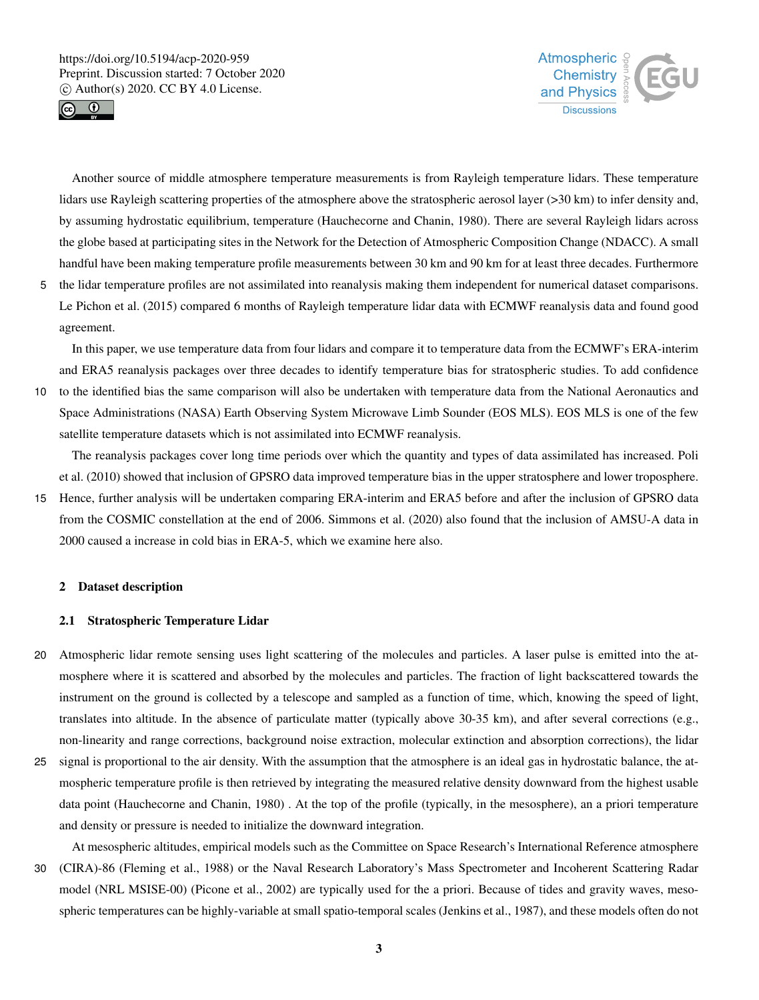



Another source of middle atmosphere temperature measurements is from Rayleigh temperature lidars. These temperature lidars use Rayleigh scattering properties of the atmosphere above the stratospheric aerosol layer (>30 km) to infer density and, by assuming hydrostatic equilibrium, temperature (Hauchecorne and Chanin, 1980). There are several Rayleigh lidars across the globe based at participating sites in the Network for the Detection of Atmospheric Composition Change (NDACC). A small handful have been making temperature profile measurements between 30 km and 90 km for at least three decades. Furthermore

5 the lidar temperature profiles are not assimilated into reanalysis making them independent for numerical dataset comparisons. Le Pichon et al. (2015) compared 6 months of Rayleigh temperature lidar data with ECMWF reanalysis data and found good agreement.

In this paper, we use temperature data from four lidars and compare it to temperature data from the ECMWF's ERA-interim and ERA5 reanalysis packages over three decades to identify temperature bias for stratospheric studies. To add confidence

10 to the identified bias the same comparison will also be undertaken with temperature data from the National Aeronautics and Space Administrations (NASA) Earth Observing System Microwave Limb Sounder (EOS MLS). EOS MLS is one of the few satellite temperature datasets which is not assimilated into ECMWF reanalysis.

The reanalysis packages cover long time periods over which the quantity and types of data assimilated has increased. Poli et al. (2010) showed that inclusion of GPSRO data improved temperature bias in the upper stratosphere and lower troposphere.

15 Hence, further analysis will be undertaken comparing ERA-interim and ERA5 before and after the inclusion of GPSRO data from the COSMIC constellation at the end of 2006. Simmons et al. (2020) also found that the inclusion of AMSU-A data in 2000 caused a increase in cold bias in ERA-5, which we examine here also.

## 2 Dataset description

# 2.1 Stratospheric Temperature Lidar

- 20 Atmospheric lidar remote sensing uses light scattering of the molecules and particles. A laser pulse is emitted into the atmosphere where it is scattered and absorbed by the molecules and particles. The fraction of light backscattered towards the instrument on the ground is collected by a telescope and sampled as a function of time, which, knowing the speed of light, translates into altitude. In the absence of particulate matter (typically above 30-35 km), and after several corrections (e.g., non-linearity and range corrections, background noise extraction, molecular extinction and absorption corrections), the lidar
- 25 signal is proportional to the air density. With the assumption that the atmosphere is an ideal gas in hydrostatic balance, the atmospheric temperature profile is then retrieved by integrating the measured relative density downward from the highest usable data point (Hauchecorne and Chanin, 1980) . At the top of the profile (typically, in the mesosphere), an a priori temperature and density or pressure is needed to initialize the downward integration.

At mesospheric altitudes, empirical models such as the Committee on Space Research's International Reference atmosphere 30 (CIRA)-86 (Fleming et al., 1988) or the Naval Research Laboratory's Mass Spectrometer and Incoherent Scattering Radar model (NRL MSISE-00) (Picone et al., 2002) are typically used for the a priori. Because of tides and gravity waves, mesospheric temperatures can be highly-variable at small spatio-temporal scales (Jenkins et al., 1987), and these models often do not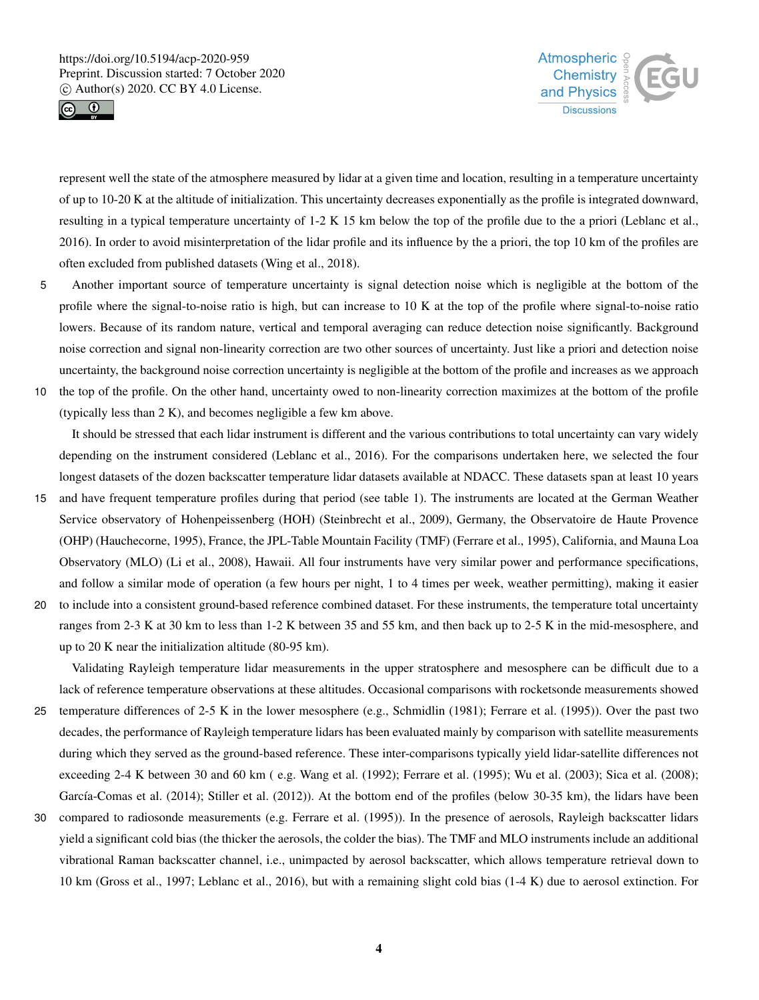



represent well the state of the atmosphere measured by lidar at a given time and location, resulting in a temperature uncertainty of up to 10-20 K at the altitude of initialization. This uncertainty decreases exponentially as the profile is integrated downward, resulting in a typical temperature uncertainty of 1-2 K 15 km below the top of the profile due to the a priori (Leblanc et al., 2016). In order to avoid misinterpretation of the lidar profile and its influence by the a priori, the top 10 km of the profiles are often excluded from published datasets (Wing et al., 2018).

- 5 Another important source of temperature uncertainty is signal detection noise which is negligible at the bottom of the profile where the signal-to-noise ratio is high, but can increase to 10 K at the top of the profile where signal-to-noise ratio lowers. Because of its random nature, vertical and temporal averaging can reduce detection noise significantly. Background noise correction and signal non-linearity correction are two other sources of uncertainty. Just like a priori and detection noise uncertainty, the background noise correction uncertainty is negligible at the bottom of the profile and increases as we approach
- 10 the top of the profile. On the other hand, uncertainty owed to non-linearity correction maximizes at the bottom of the profile (typically less than 2 K), and becomes negligible a few km above.

It should be stressed that each lidar instrument is different and the various contributions to total uncertainty can vary widely depending on the instrument considered (Leblanc et al., 2016). For the comparisons undertaken here, we selected the four longest datasets of the dozen backscatter temperature lidar datasets available at NDACC. These datasets span at least 10 years

- 15 and have frequent temperature profiles during that period (see table 1). The instruments are located at the German Weather Service observatory of Hohenpeissenberg (HOH) (Steinbrecht et al., 2009), Germany, the Observatoire de Haute Provence (OHP) (Hauchecorne, 1995), France, the JPL-Table Mountain Facility (TMF) (Ferrare et al., 1995), California, and Mauna Loa Observatory (MLO) (Li et al., 2008), Hawaii. All four instruments have very similar power and performance specifications, and follow a similar mode of operation (a few hours per night, 1 to 4 times per week, weather permitting), making it easier
- 20 to include into a consistent ground-based reference combined dataset. For these instruments, the temperature total uncertainty ranges from 2-3 K at 30 km to less than 1-2 K between 35 and 55 km, and then back up to 2-5 K in the mid-mesosphere, and up to 20 K near the initialization altitude (80-95 km).

Validating Rayleigh temperature lidar measurements in the upper stratosphere and mesosphere can be difficult due to a lack of reference temperature observations at these altitudes. Occasional comparisons with rocketsonde measurements showed

- 25 temperature differences of 2-5 K in the lower mesosphere (e.g., Schmidlin (1981); Ferrare et al. (1995)). Over the past two decades, the performance of Rayleigh temperature lidars has been evaluated mainly by comparison with satellite measurements during which they served as the ground-based reference. These inter-comparisons typically yield lidar-satellite differences not exceeding 2-4 K between 30 and 60 km ( e.g. Wang et al. (1992); Ferrare et al. (1995); Wu et al. (2003); Sica et al. (2008); García-Comas et al. (2014); Stiller et al. (2012)). At the bottom end of the profiles (below 30-35 km), the lidars have been
- 30 compared to radiosonde measurements (e.g. Ferrare et al. (1995)). In the presence of aerosols, Rayleigh backscatter lidars yield a significant cold bias (the thicker the aerosols, the colder the bias). The TMF and MLO instruments include an additional vibrational Raman backscatter channel, i.e., unimpacted by aerosol backscatter, which allows temperature retrieval down to 10 km (Gross et al., 1997; Leblanc et al., 2016), but with a remaining slight cold bias (1-4 K) due to aerosol extinction. For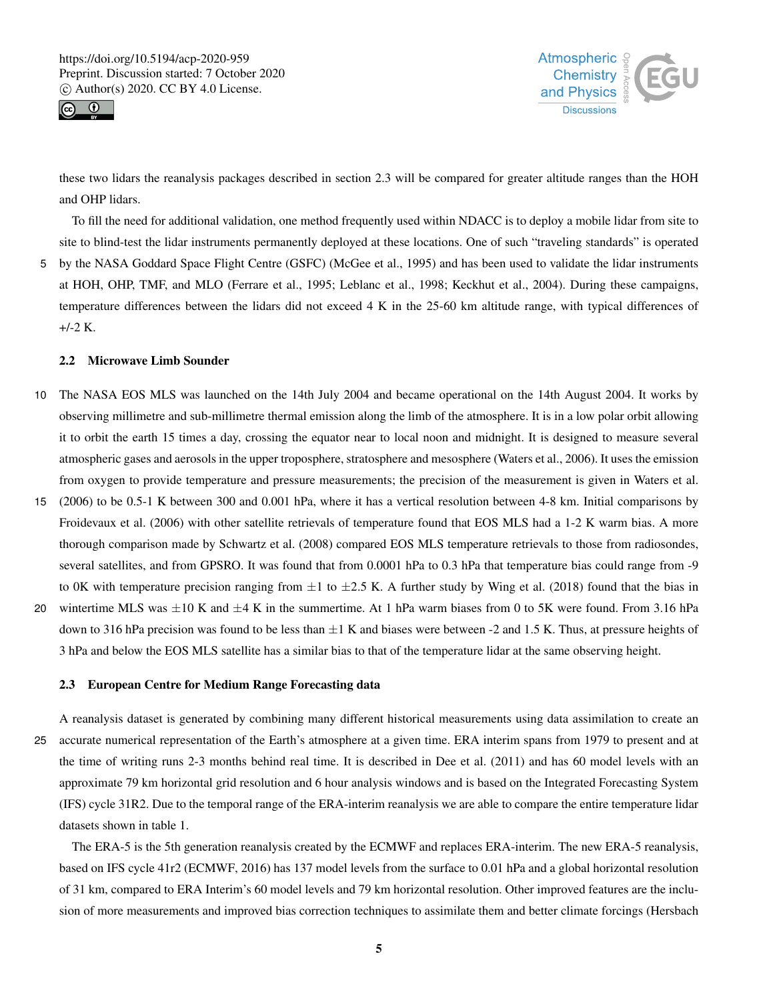



these two lidars the reanalysis packages described in section 2.3 will be compared for greater altitude ranges than the HOH and OHP lidars.

To fill the need for additional validation, one method frequently used within NDACC is to deploy a mobile lidar from site to site to blind-test the lidar instruments permanently deployed at these locations. One of such "traveling standards" is operated 5 by the NASA Goddard Space Flight Centre (GSFC) (McGee et al., 1995) and has been used to validate the lidar instruments at HOH, OHP, TMF, and MLO (Ferrare et al., 1995; Leblanc et al., 1998; Keckhut et al., 2004). During these campaigns, temperature differences between the lidars did not exceed 4 K in the 25-60 km altitude range, with typical differences of +/-2 K.

# 2.2 Microwave Limb Sounder

- 10 The NASA EOS MLS was launched on the 14th July 2004 and became operational on the 14th August 2004. It works by observing millimetre and sub-millimetre thermal emission along the limb of the atmosphere. It is in a low polar orbit allowing it to orbit the earth 15 times a day, crossing the equator near to local noon and midnight. It is designed to measure several atmospheric gases and aerosols in the upper troposphere, stratosphere and mesosphere (Waters et al., 2006). It uses the emission from oxygen to provide temperature and pressure measurements; the precision of the measurement is given in Waters et al.
- 15 (2006) to be 0.5-1 K between 300 and 0.001 hPa, where it has a vertical resolution between 4-8 km. Initial comparisons by Froidevaux et al. (2006) with other satellite retrievals of temperature found that EOS MLS had a 1-2 K warm bias. A more thorough comparison made by Schwartz et al. (2008) compared EOS MLS temperature retrievals to those from radiosondes, several satellites, and from GPSRO. It was found that from 0.0001 hPa to 0.3 hPa that temperature bias could range from -9 to 0K with temperature precision ranging from  $\pm 1$  to  $\pm 2.5$  K. A further study by Wing et al. (2018) found that the bias in
- 20 wintertime MLS was  $\pm 10$  K and  $\pm 4$  K in the summertime. At 1 hPa warm biases from 0 to 5K were found. From 3.16 hPa down to 316 hPa precision was found to be less than  $\pm 1$  K and biases were between -2 and 1.5 K. Thus, at pressure heights of 3 hPa and below the EOS MLS satellite has a similar bias to that of the temperature lidar at the same observing height.

#### 2.3 European Centre for Medium Range Forecasting data

A reanalysis dataset is generated by combining many different historical measurements using data assimilation to create an 25 accurate numerical representation of the Earth's atmosphere at a given time. ERA interim spans from 1979 to present and at the time of writing runs 2-3 months behind real time. It is described in Dee et al. (2011) and has 60 model levels with an approximate 79 km horizontal grid resolution and 6 hour analysis windows and is based on the Integrated Forecasting System (IFS) cycle 31R2. Due to the temporal range of the ERA-interim reanalysis we are able to compare the entire temperature lidar datasets shown in table 1.

The ERA-5 is the 5th generation reanalysis created by the ECMWF and replaces ERA-interim. The new ERA-5 reanalysis, based on IFS cycle 41r2 (ECMWF, 2016) has 137 model levels from the surface to 0.01 hPa and a global horizontal resolution of 31 km, compared to ERA Interim's 60 model levels and 79 km horizontal resolution. Other improved features are the inclusion of more measurements and improved bias correction techniques to assimilate them and better climate forcings (Hersbach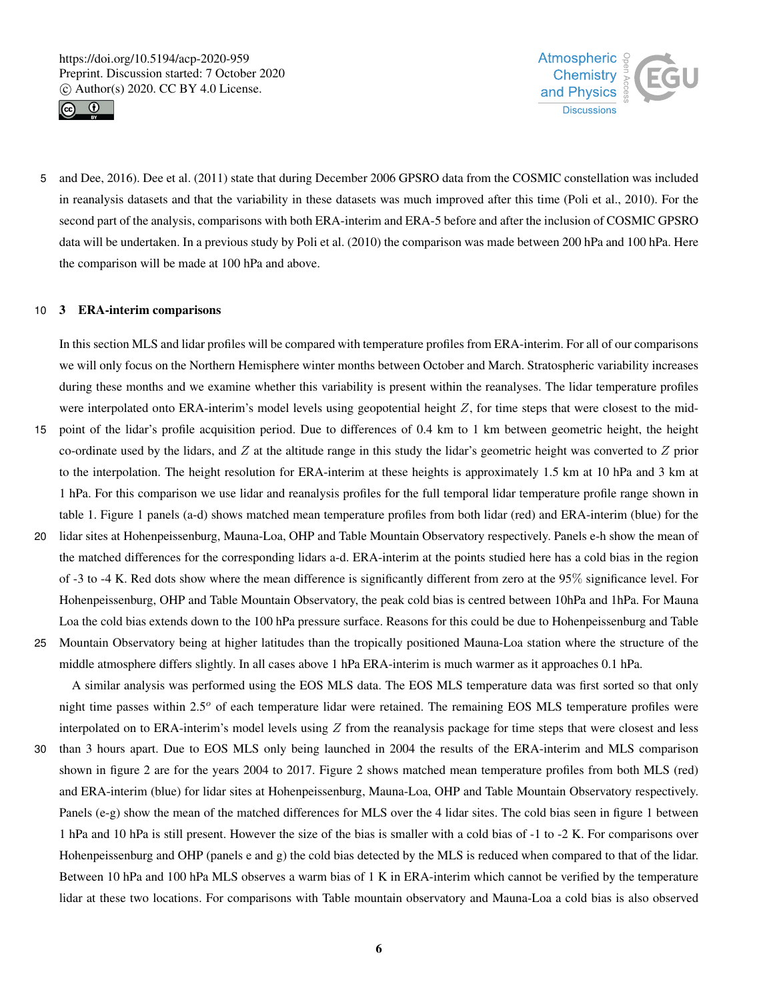



5 and Dee, 2016). Dee et al. (2011) state that during December 2006 GPSRO data from the COSMIC constellation was included in reanalysis datasets and that the variability in these datasets was much improved after this time (Poli et al., 2010). For the second part of the analysis, comparisons with both ERA-interim and ERA-5 before and after the inclusion of COSMIC GPSRO data will be undertaken. In a previous study by Poli et al. (2010) the comparison was made between 200 hPa and 100 hPa. Here the comparison will be made at 100 hPa and above.

## 10 3 ERA-interim comparisons

In this section MLS and lidar profiles will be compared with temperature profiles from ERA-interim. For all of our comparisons we will only focus on the Northern Hemisphere winter months between October and March. Stratospheric variability increases during these months and we examine whether this variability is present within the reanalyses. The lidar temperature profiles were interpolated onto ERA-interim's model levels using geopotential height  $Z$ , for time steps that were closest to the mid-

- 15 point of the lidar's profile acquisition period. Due to differences of 0.4 km to 1 km between geometric height, the height co-ordinate used by the lidars, and  $Z$  at the altitude range in this study the lidar's geometric height was converted to  $Z$  prior to the interpolation. The height resolution for ERA-interim at these heights is approximately 1.5 km at 10 hPa and 3 km at 1 hPa. For this comparison we use lidar and reanalysis profiles for the full temporal lidar temperature profile range shown in table 1. Figure 1 panels (a-d) shows matched mean temperature profiles from both lidar (red) and ERA-interim (blue) for the
- 20 lidar sites at Hohenpeissenburg, Mauna-Loa, OHP and Table Mountain Observatory respectively. Panels e-h show the mean of the matched differences for the corresponding lidars a-d. ERA-interim at the points studied here has a cold bias in the region of -3 to -4 K. Red dots show where the mean difference is significantly different from zero at the 95% significance level. For Hohenpeissenburg, OHP and Table Mountain Observatory, the peak cold bias is centred between 10hPa and 1hPa. For Mauna Loa the cold bias extends down to the 100 hPa pressure surface. Reasons for this could be due to Hohenpeissenburg and Table
- 25 Mountain Observatory being at higher latitudes than the tropically positioned Mauna-Loa station where the structure of the middle atmosphere differs slightly. In all cases above 1 hPa ERA-interim is much warmer as it approaches 0.1 hPa.

A similar analysis was performed using the EOS MLS data. The EOS MLS temperature data was first sorted so that only night time passes within  $2.5^{\circ}$  of each temperature lidar were retained. The remaining EOS MLS temperature profiles were interpolated on to ERA-interim's model levels using  $Z$  from the reanalysis package for time steps that were closest and less

30 than 3 hours apart. Due to EOS MLS only being launched in 2004 the results of the ERA-interim and MLS comparison shown in figure 2 are for the years 2004 to 2017. Figure 2 shows matched mean temperature profiles from both MLS (red) and ERA-interim (blue) for lidar sites at Hohenpeissenburg, Mauna-Loa, OHP and Table Mountain Observatory respectively. Panels (e-g) show the mean of the matched differences for MLS over the 4 lidar sites. The cold bias seen in figure 1 between 1 hPa and 10 hPa is still present. However the size of the bias is smaller with a cold bias of -1 to -2 K. For comparisons over Hohenpeissenburg and OHP (panels e and g) the cold bias detected by the MLS is reduced when compared to that of the lidar. Between 10 hPa and 100 hPa MLS observes a warm bias of 1 K in ERA-interim which cannot be verified by the temperature lidar at these two locations. For comparisons with Table mountain observatory and Mauna-Loa a cold bias is also observed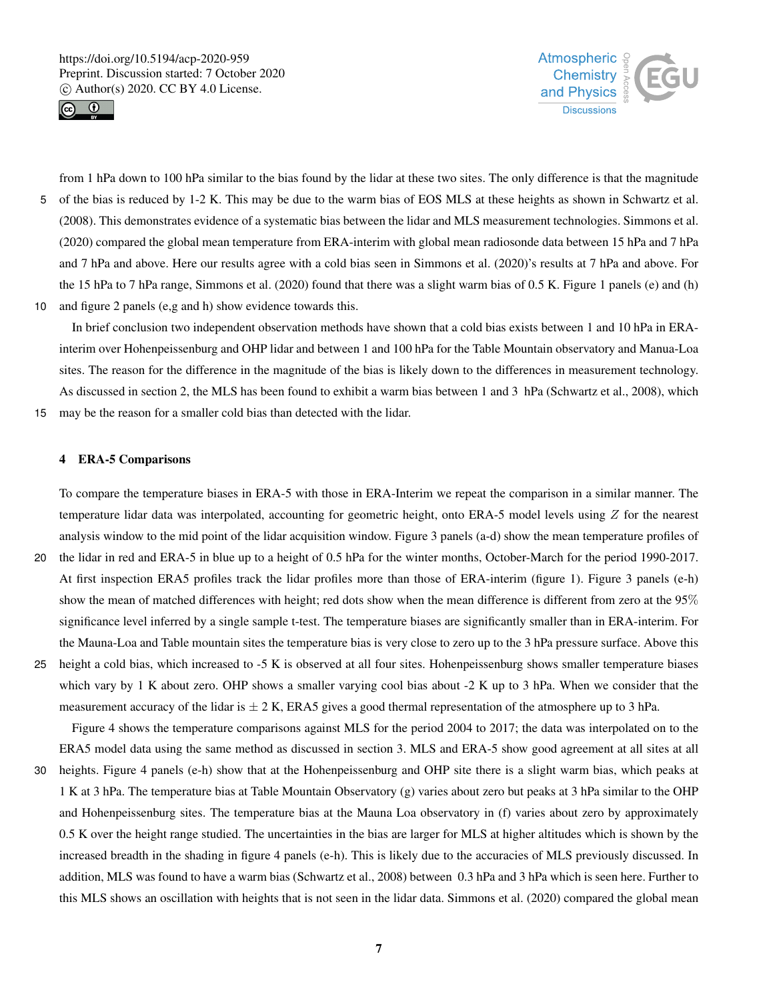



from 1 hPa down to 100 hPa similar to the bias found by the lidar at these two sites. The only difference is that the magnitude 5 of the bias is reduced by 1-2 K. This may be due to the warm bias of EOS MLS at these heights as shown in Schwartz et al. (2008). This demonstrates evidence of a systematic bias between the lidar and MLS measurement technologies. Simmons et al. (2020) compared the global mean temperature from ERA-interim with global mean radiosonde data between 15 hPa and 7 hPa and 7 hPa and above. Here our results agree with a cold bias seen in Simmons et al. (2020)'s results at 7 hPa and above. For the 15 hPa to 7 hPa range, Simmons et al. (2020) found that there was a slight warm bias of 0.5 K. Figure 1 panels (e) and (h) 10 and figure 2 panels (e,g and h) show evidence towards this.

In brief conclusion two independent observation methods have shown that a cold bias exists between 1 and 10 hPa in ERAinterim over Hohenpeissenburg and OHP lidar and between 1 and 100 hPa for the Table Mountain observatory and Manua-Loa sites. The reason for the difference in the magnitude of the bias is likely down to the differences in measurement technology. As discussed in section 2, the MLS has been found to exhibit a warm bias between 1 and 3 hPa (Schwartz et al., 2008), which

15 may be the reason for a smaller cold bias than detected with the lidar.

## 4 ERA-5 Comparisons

To compare the temperature biases in ERA-5 with those in ERA-Interim we repeat the comparison in a similar manner. The temperature lidar data was interpolated, accounting for geometric height, onto ERA-5 model levels using Z for the nearest analysis window to the mid point of the lidar acquisition window. Figure 3 panels (a-d) show the mean temperature profiles of

- 20 the lidar in red and ERA-5 in blue up to a height of 0.5 hPa for the winter months, October-March for the period 1990-2017. At first inspection ERA5 profiles track the lidar profiles more than those of ERA-interim (figure 1). Figure 3 panels (e-h) show the mean of matched differences with height; red dots show when the mean difference is different from zero at the 95% significance level inferred by a single sample t-test. The temperature biases are significantly smaller than in ERA-interim. For the Mauna-Loa and Table mountain sites the temperature bias is very close to zero up to the 3 hPa pressure surface. Above this
- 25 height a cold bias, which increased to -5 K is observed at all four sites. Hohenpeissenburg shows smaller temperature biases which vary by 1 K about zero. OHP shows a smaller varying cool bias about -2 K up to 3 hPa. When we consider that the measurement accuracy of the lidar is  $\pm 2$  K, ERA5 gives a good thermal representation of the atmosphere up to 3 hPa.

Figure 4 shows the temperature comparisons against MLS for the period 2004 to 2017; the data was interpolated on to the ERA5 model data using the same method as discussed in section 3. MLS and ERA-5 show good agreement at all sites at all

30 heights. Figure 4 panels (e-h) show that at the Hohenpeissenburg and OHP site there is a slight warm bias, which peaks at 1 K at 3 hPa. The temperature bias at Table Mountain Observatory (g) varies about zero but peaks at 3 hPa similar to the OHP and Hohenpeissenburg sites. The temperature bias at the Mauna Loa observatory in (f) varies about zero by approximately 0.5 K over the height range studied. The uncertainties in the bias are larger for MLS at higher altitudes which is shown by the increased breadth in the shading in figure 4 panels (e-h). This is likely due to the accuracies of MLS previously discussed. In addition, MLS was found to have a warm bias (Schwartz et al., 2008) between 0.3 hPa and 3 hPa which is seen here. Further to this MLS shows an oscillation with heights that is not seen in the lidar data. Simmons et al. (2020) compared the global mean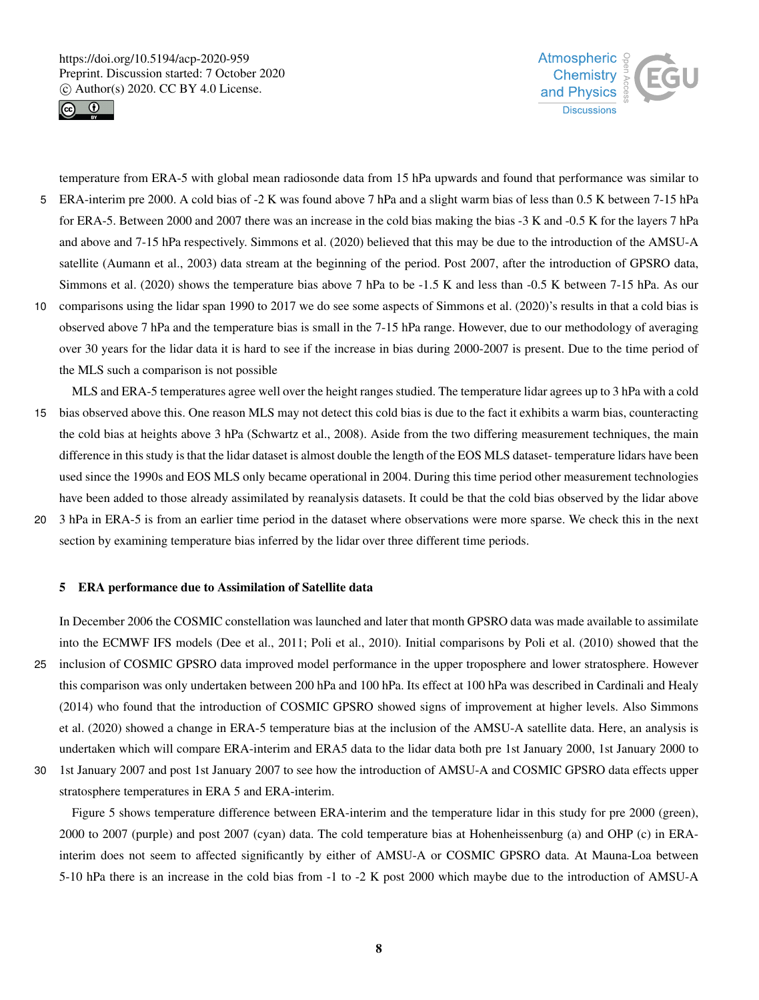



temperature from ERA-5 with global mean radiosonde data from 15 hPa upwards and found that performance was similar to 5 ERA-interim pre 2000. A cold bias of -2 K was found above 7 hPa and a slight warm bias of less than 0.5 K between 7-15 hPa for ERA-5. Between 2000 and 2007 there was an increase in the cold bias making the bias -3 K and -0.5 K for the layers 7 hPa and above and 7-15 hPa respectively. Simmons et al. (2020) believed that this may be due to the introduction of the AMSU-A satellite (Aumann et al., 2003) data stream at the beginning of the period. Post 2007, after the introduction of GPSRO data, Simmons et al. (2020) shows the temperature bias above 7 hPa to be -1.5 K and less than -0.5 K between 7-15 hPa. As our 10 comparisons using the lidar span 1990 to 2017 we do see some aspects of Simmons et al. (2020)'s results in that a cold bias is observed above 7 hPa and the temperature bias is small in the 7-15 hPa range. However, due to our methodology of averaging

over 30 years for the lidar data it is hard to see if the increase in bias during 2000-2007 is present. Due to the time period of the MLS such a comparison is not possible

- MLS and ERA-5 temperatures agree well over the height ranges studied. The temperature lidar agrees up to 3 hPa with a cold 15 bias observed above this. One reason MLS may not detect this cold bias is due to the fact it exhibits a warm bias, counteracting the cold bias at heights above 3 hPa (Schwartz et al., 2008). Aside from the two differing measurement techniques, the main difference in this study is that the lidar dataset is almost double the length of the EOS MLS dataset- temperature lidars have been used since the 1990s and EOS MLS only became operational in 2004. During this time period other measurement technologies have been added to those already assimilated by reanalysis datasets. It could be that the cold bias observed by the lidar above 20 3 hPa in ERA-5 is from an earlier time period in the dataset where observations were more sparse. We check this in the next
- section by examining temperature bias inferred by the lidar over three different time periods.

#### 5 ERA performance due to Assimilation of Satellite data

In December 2006 the COSMIC constellation was launched and later that month GPSRO data was made available to assimilate into the ECMWF IFS models (Dee et al., 2011; Poli et al., 2010). Initial comparisons by Poli et al. (2010) showed that the 25 inclusion of COSMIC GPSRO data improved model performance in the upper troposphere and lower stratosphere. However this comparison was only undertaken between 200 hPa and 100 hPa. Its effect at 100 hPa was described in Cardinali and Healy (2014) who found that the introduction of COSMIC GPSRO showed signs of improvement at higher levels. Also Simmons et al. (2020) showed a change in ERA-5 temperature bias at the inclusion of the AMSU-A satellite data. Here, an analysis is undertaken which will compare ERA-interim and ERA5 data to the lidar data both pre 1st January 2000, 1st January 2000 to

30 1st January 2007 and post 1st January 2007 to see how the introduction of AMSU-A and COSMIC GPSRO data effects upper stratosphere temperatures in ERA 5 and ERA-interim. Figure 5 shows temperature difference between ERA-interim and the temperature lidar in this study for pre 2000 (green),

2000 to 2007 (purple) and post 2007 (cyan) data. The cold temperature bias at Hohenheissenburg (a) and OHP (c) in ERAinterim does not seem to affected significantly by either of AMSU-A or COSMIC GPSRO data. At Mauna-Loa between 5-10 hPa there is an increase in the cold bias from -1 to -2 K post 2000 which maybe due to the introduction of AMSU-A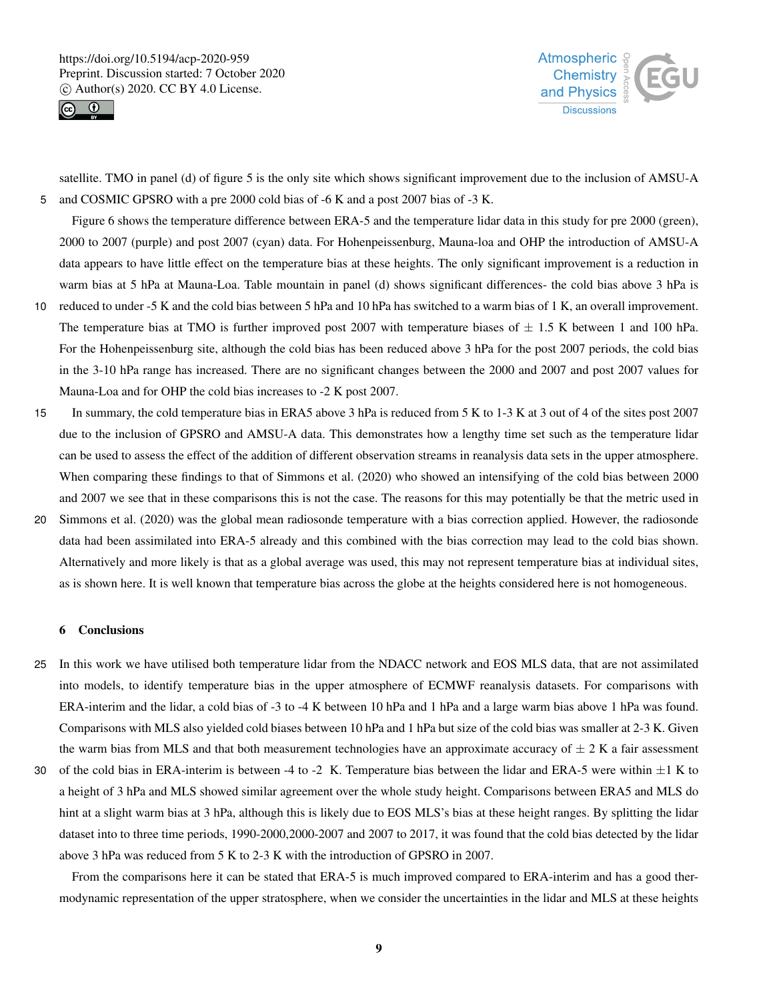



satellite. TMO in panel (d) of figure 5 is the only site which shows significant improvement due to the inclusion of AMSU-A 5 and COSMIC GPSRO with a pre 2000 cold bias of -6 K and a post 2007 bias of -3 K.

Figure 6 shows the temperature difference between ERA-5 and the temperature lidar data in this study for pre 2000 (green), 2000 to 2007 (purple) and post 2007 (cyan) data. For Hohenpeissenburg, Mauna-loa and OHP the introduction of AMSU-A data appears to have little effect on the temperature bias at these heights. The only significant improvement is a reduction in warm bias at 5 hPa at Mauna-Loa. Table mountain in panel (d) shows significant differences- the cold bias above 3 hPa is

- 10 reduced to under -5 K and the cold bias between 5 hPa and 10 hPa has switched to a warm bias of 1 K, an overall improvement. The temperature bias at TMO is further improved post 2007 with temperature biases of  $\pm$  1.5 K between 1 and 100 hPa. For the Hohenpeissenburg site, although the cold bias has been reduced above 3 hPa for the post 2007 periods, the cold bias in the 3-10 hPa range has increased. There are no significant changes between the 2000 and 2007 and post 2007 values for Mauna-Loa and for OHP the cold bias increases to -2 K post 2007.
- 15 In summary, the cold temperature bias in ERA5 above 3 hPa is reduced from 5 K to 1-3 K at 3 out of 4 of the sites post 2007 due to the inclusion of GPSRO and AMSU-A data. This demonstrates how a lengthy time set such as the temperature lidar can be used to assess the effect of the addition of different observation streams in reanalysis data sets in the upper atmosphere. When comparing these findings to that of Simmons et al. (2020) who showed an intensifying of the cold bias between 2000 and 2007 we see that in these comparisons this is not the case. The reasons for this may potentially be that the metric used in
- 20 Simmons et al. (2020) was the global mean radiosonde temperature with a bias correction applied. However, the radiosonde data had been assimilated into ERA-5 already and this combined with the bias correction may lead to the cold bias shown. Alternatively and more likely is that as a global average was used, this may not represent temperature bias at individual sites, as is shown here. It is well known that temperature bias across the globe at the heights considered here is not homogeneous.

## 6 Conclusions

- 25 In this work we have utilised both temperature lidar from the NDACC network and EOS MLS data, that are not assimilated into models, to identify temperature bias in the upper atmosphere of ECMWF reanalysis datasets. For comparisons with ERA-interim and the lidar, a cold bias of -3 to -4 K between 10 hPa and 1 hPa and a large warm bias above 1 hPa was found. Comparisons with MLS also yielded cold biases between 10 hPa and 1 hPa but size of the cold bias was smaller at 2-3 K. Given the warm bias from MLS and that both measurement technologies have an approximate accuracy of  $\pm 2$  K a fair assessment
- 30 of the cold bias in ERA-interim is between -4 to -2 K. Temperature bias between the lidar and ERA-5 were within  $\pm 1$  K to a height of 3 hPa and MLS showed similar agreement over the whole study height. Comparisons between ERA5 and MLS do hint at a slight warm bias at 3 hPa, although this is likely due to EOS MLS's bias at these height ranges. By splitting the lidar dataset into to three time periods, 1990-2000,2000-2007 and 2007 to 2017, it was found that the cold bias detected by the lidar above 3 hPa was reduced from 5 K to 2-3 K with the introduction of GPSRO in 2007.

From the comparisons here it can be stated that ERA-5 is much improved compared to ERA-interim and has a good thermodynamic representation of the upper stratosphere, when we consider the uncertainties in the lidar and MLS at these heights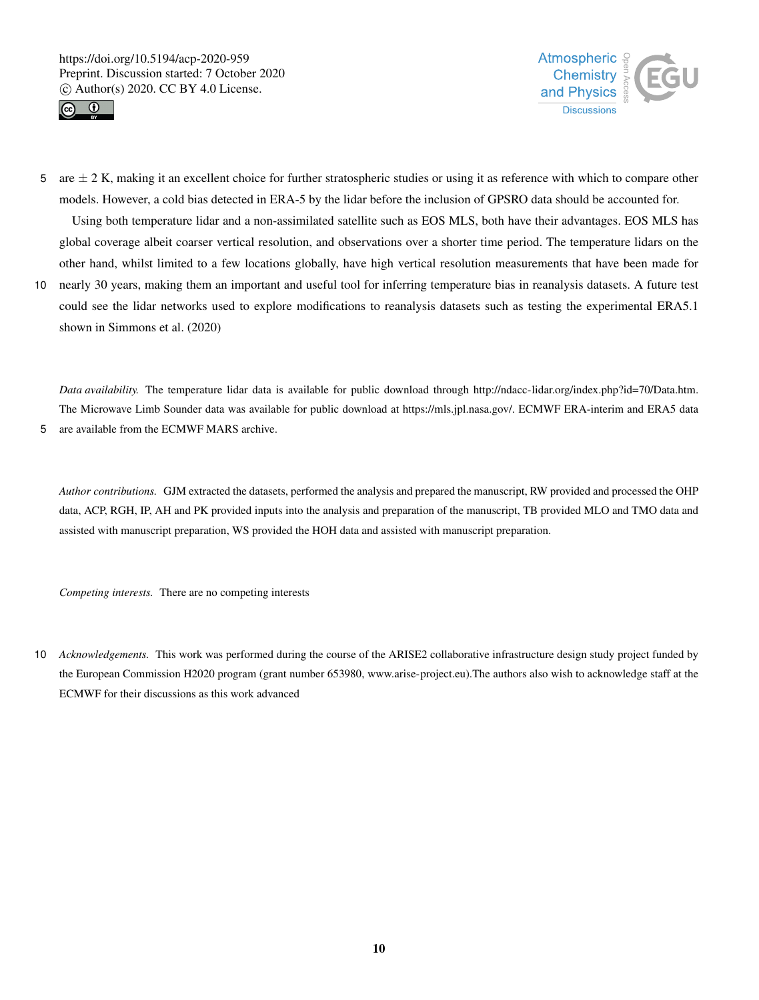



- 5 are  $\pm$  2 K, making it an excellent choice for further stratospheric studies or using it as reference with which to compare other models. However, a cold bias detected in ERA-5 by the lidar before the inclusion of GPSRO data should be accounted for. Using both temperature lidar and a non-assimilated satellite such as EOS MLS, both have their advantages. EOS MLS has global coverage albeit coarser vertical resolution, and observations over a shorter time period. The temperature lidars on the other hand, whilst limited to a few locations globally, have high vertical resolution measurements that have been made for
- 10 nearly 30 years, making them an important and useful tool for inferring temperature bias in reanalysis datasets. A future test could see the lidar networks used to explore modifications to reanalysis datasets such as testing the experimental ERA5.1 shown in Simmons et al. (2020)

*Data availability.* The temperature lidar data is available for public download through http://ndacc-lidar.org/index.php?id=70/Data.htm. The Microwave Limb Sounder data was available for public download at https://mls.jpl.nasa.gov/. ECMWF ERA-interim and ERA5 data 5 are available from the ECMWF MARS archive.

*Author contributions.* GJM extracted the datasets, performed the analysis and prepared the manuscript, RW provided and processed the OHP data, ACP, RGH, IP, AH and PK provided inputs into the analysis and preparation of the manuscript, TB provided MLO and TMO data and assisted with manuscript preparation, WS provided the HOH data and assisted with manuscript preparation.

*Competing interests.* There are no competing interests

10 *Acknowledgements.* This work was performed during the course of the ARISE2 collaborative infrastructure design study project funded by the European Commission H2020 program (grant number 653980, www.arise-project.eu).The authors also wish to acknowledge staff at the ECMWF for their discussions as this work advanced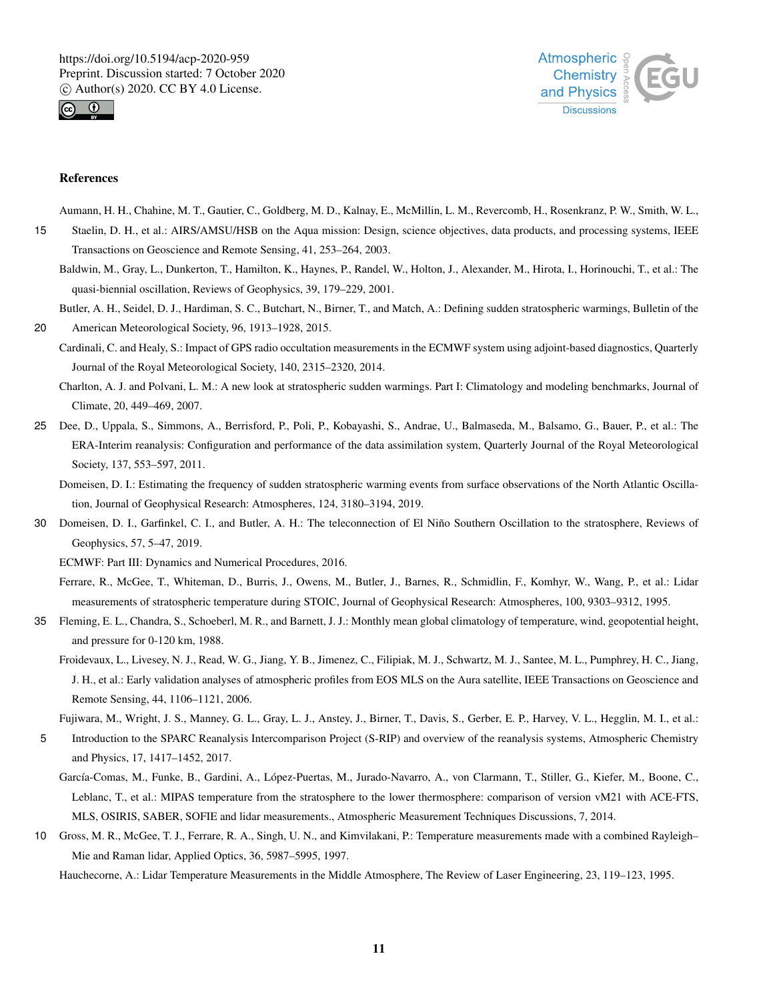



## References

Aumann, H. H., Chahine, M. T., Gautier, C., Goldberg, M. D., Kalnay, E., McMillin, L. M., Revercomb, H., Rosenkranz, P. W., Smith, W. L.,

- 15 Staelin, D. H., et al.: AIRS/AMSU/HSB on the Aqua mission: Design, science objectives, data products, and processing systems, IEEE Transactions on Geoscience and Remote Sensing, 41, 253–264, 2003.
	- Baldwin, M., Gray, L., Dunkerton, T., Hamilton, K., Haynes, P., Randel, W., Holton, J., Alexander, M., Hirota, I., Horinouchi, T., et al.: The quasi-biennial oscillation, Reviews of Geophysics, 39, 179–229, 2001.
- Butler, A. H., Seidel, D. J., Hardiman, S. C., Butchart, N., Birner, T., and Match, A.: Defining sudden stratospheric warmings, Bulletin of the 20 American Meteorological Society, 96, 1913–1928, 2015.
	- Cardinali, C. and Healy, S.: Impact of GPS radio occultation measurements in the ECMWF system using adjoint-based diagnostics, Quarterly Journal of the Royal Meteorological Society, 140, 2315–2320, 2014.
		- Charlton, A. J. and Polvani, L. M.: A new look at stratospheric sudden warmings. Part I: Climatology and modeling benchmarks, Journal of Climate, 20, 449–469, 2007.
- 25 Dee, D., Uppala, S., Simmons, A., Berrisford, P., Poli, P., Kobayashi, S., Andrae, U., Balmaseda, M., Balsamo, G., Bauer, P., et al.: The ERA-Interim reanalysis: Configuration and performance of the data assimilation system, Quarterly Journal of the Royal Meteorological Society, 137, 553–597, 2011.
	- Domeisen, D. I.: Estimating the frequency of sudden stratospheric warming events from surface observations of the North Atlantic Oscillation, Journal of Geophysical Research: Atmospheres, 124, 3180–3194, 2019.
- 30 Domeisen, D. I., Garfinkel, C. I., and Butler, A. H.: The teleconnection of El Niño Southern Oscillation to the stratosphere, Reviews of Geophysics, 57, 5–47, 2019.

ECMWF: Part III: Dynamics and Numerical Procedures, 2016.

Ferrare, R., McGee, T., Whiteman, D., Burris, J., Owens, M., Butler, J., Barnes, R., Schmidlin, F., Komhyr, W., Wang, P., et al.: Lidar measurements of stratospheric temperature during STOIC, Journal of Geophysical Research: Atmospheres, 100, 9303–9312, 1995.

- 35 Fleming, E. L., Chandra, S., Schoeberl, M. R., and Barnett, J. J.: Monthly mean global climatology of temperature, wind, geopotential height, and pressure for 0-120 km, 1988.
	- Froidevaux, L., Livesey, N. J., Read, W. G., Jiang, Y. B., Jimenez, C., Filipiak, M. J., Schwartz, M. J., Santee, M. L., Pumphrey, H. C., Jiang, J. H., et al.: Early validation analyses of atmospheric profiles from EOS MLS on the Aura satellite, IEEE Transactions on Geoscience and Remote Sensing, 44, 1106–1121, 2006.
	- Fujiwara, M., Wright, J. S., Manney, G. L., Gray, L. J., Anstey, J., Birner, T., Davis, S., Gerber, E. P., Harvey, V. L., Hegglin, M. I., et al.:
- 5 Introduction to the SPARC Reanalysis Intercomparison Project (S-RIP) and overview of the reanalysis systems, Atmospheric Chemistry and Physics, 17, 1417–1452, 2017.
	- García-Comas, M., Funke, B., Gardini, A., López-Puertas, M., Jurado-Navarro, A., von Clarmann, T., Stiller, G., Kiefer, M., Boone, C., Leblanc, T., et al.: MIPAS temperature from the stratosphere to the lower thermosphere: comparison of version vM21 with ACE-FTS, MLS, OSIRIS, SABER, SOFIE and lidar measurements., Atmospheric Measurement Techniques Discussions, 7, 2014.
- 10 Gross, M. R., McGee, T. J., Ferrare, R. A., Singh, U. N., and Kimvilakani, P.: Temperature measurements made with a combined Rayleigh– Mie and Raman lidar, Applied Optics, 36, 5987–5995, 1997.

Hauchecorne, A.: Lidar Temperature Measurements in the Middle Atmosphere, The Review of Laser Engineering, 23, 119–123, 1995.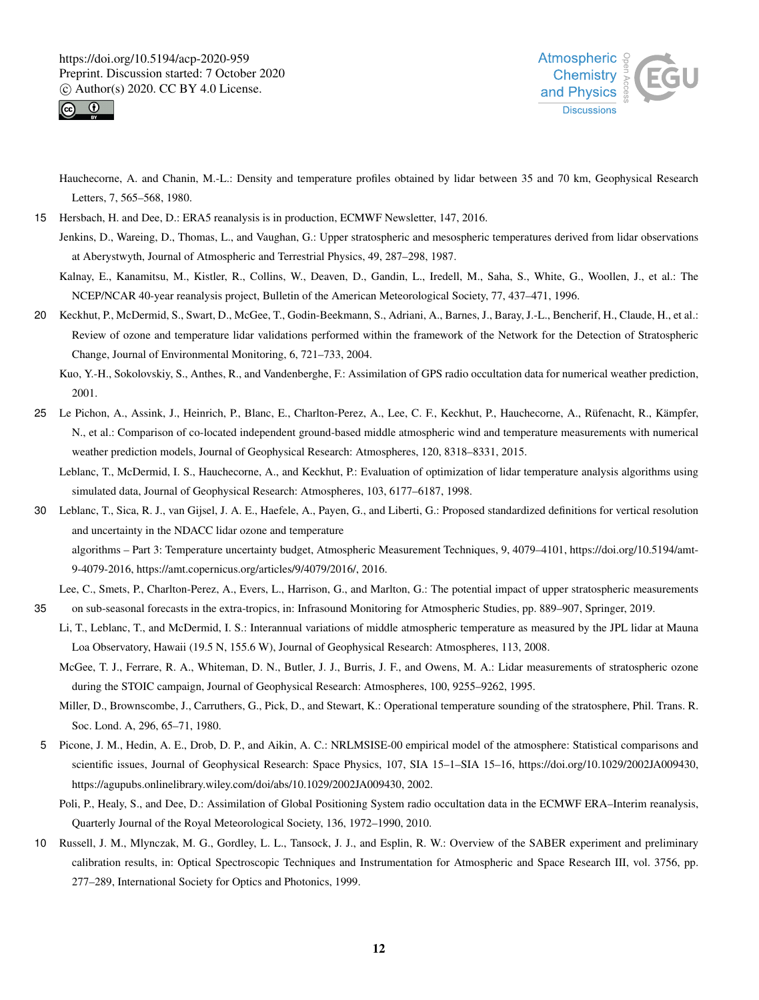



Hauchecorne, A. and Chanin, M.-L.: Density and temperature profiles obtained by lidar between 35 and 70 km, Geophysical Research Letters, 7, 565–568, 1980.

15 Hersbach, H. and Dee, D.: ERA5 reanalysis is in production, ECMWF Newsletter, 147, 2016.

Jenkins, D., Wareing, D., Thomas, L., and Vaughan, G.: Upper stratospheric and mesospheric temperatures derived from lidar observations at Aberystwyth, Journal of Atmospheric and Terrestrial Physics, 49, 287–298, 1987.

Kalnay, E., Kanamitsu, M., Kistler, R., Collins, W., Deaven, D., Gandin, L., Iredell, M., Saha, S., White, G., Woollen, J., et al.: The NCEP/NCAR 40-year reanalysis project, Bulletin of the American Meteorological Society, 77, 437–471, 1996.

20 Keckhut, P., McDermid, S., Swart, D., McGee, T., Godin-Beekmann, S., Adriani, A., Barnes, J., Baray, J.-L., Bencherif, H., Claude, H., et al.: Review of ozone and temperature lidar validations performed within the framework of the Network for the Detection of Stratospheric Change, Journal of Environmental Monitoring, 6, 721–733, 2004.

Kuo, Y.-H., Sokolovskiy, S., Anthes, R., and Vandenberghe, F.: Assimilation of GPS radio occultation data for numerical weather prediction, 2001.

25 Le Pichon, A., Assink, J., Heinrich, P., Blanc, E., Charlton-Perez, A., Lee, C. F., Keckhut, P., Hauchecorne, A., Rüfenacht, R., Kämpfer, N., et al.: Comparison of co-located independent ground-based middle atmospheric wind and temperature measurements with numerical weather prediction models, Journal of Geophysical Research: Atmospheres, 120, 8318–8331, 2015.

Leblanc, T., McDermid, I. S., Hauchecorne, A., and Keckhut, P.: Evaluation of optimization of lidar temperature analysis algorithms using simulated data, Journal of Geophysical Research: Atmospheres, 103, 6177–6187, 1998.

- 30 Leblanc, T., Sica, R. J., van Gijsel, J. A. E., Haefele, A., Payen, G., and Liberti, G.: Proposed standardized definitions for vertical resolution and uncertainty in the NDACC lidar ozone and temperature algorithms – Part 3: Temperature uncertainty budget, Atmospheric Measurement Techniques, 9, 4079–4101, https://doi.org/10.5194/amt-9-4079-2016, https://amt.copernicus.org/articles/9/4079/2016/, 2016.
- Lee, C., Smets, P., Charlton-Perez, A., Evers, L., Harrison, G., and Marlton, G.: The potential impact of upper stratospheric measurements 35 on sub-seasonal forecasts in the extra-tropics, in: Infrasound Monitoring for Atmospheric Studies, pp. 889–907, Springer, 2019.
	- Li, T., Leblanc, T., and McDermid, I. S.: Interannual variations of middle atmospheric temperature as measured by the JPL lidar at Mauna Loa Observatory, Hawaii (19.5 N, 155.6 W), Journal of Geophysical Research: Atmospheres, 113, 2008.
		- McGee, T. J., Ferrare, R. A., Whiteman, D. N., Butler, J. J., Burris, J. F., and Owens, M. A.: Lidar measurements of stratospheric ozone during the STOIC campaign, Journal of Geophysical Research: Atmospheres, 100, 9255–9262, 1995.
		- Miller, D., Brownscombe, J., Carruthers, G., Pick, D., and Stewart, K.: Operational temperature sounding of the stratosphere, Phil. Trans. R. Soc. Lond. A, 296, 65–71, 1980.
- 5 Picone, J. M., Hedin, A. E., Drob, D. P., and Aikin, A. C.: NRLMSISE-00 empirical model of the atmosphere: Statistical comparisons and scientific issues, Journal of Geophysical Research: Space Physics, 107, SIA 15–1–SIA 15–16, https://doi.org/10.1029/2002JA009430, https://agupubs.onlinelibrary.wiley.com/doi/abs/10.1029/2002JA009430, 2002.
	- Poli, P., Healy, S., and Dee, D.: Assimilation of Global Positioning System radio occultation data in the ECMWF ERA–Interim reanalysis, Quarterly Journal of the Royal Meteorological Society, 136, 1972–1990, 2010.
- 10 Russell, J. M., Mlynczak, M. G., Gordley, L. L., Tansock, J. J., and Esplin, R. W.: Overview of the SABER experiment and preliminary calibration results, in: Optical Spectroscopic Techniques and Instrumentation for Atmospheric and Space Research III, vol. 3756, pp. 277–289, International Society for Optics and Photonics, 1999.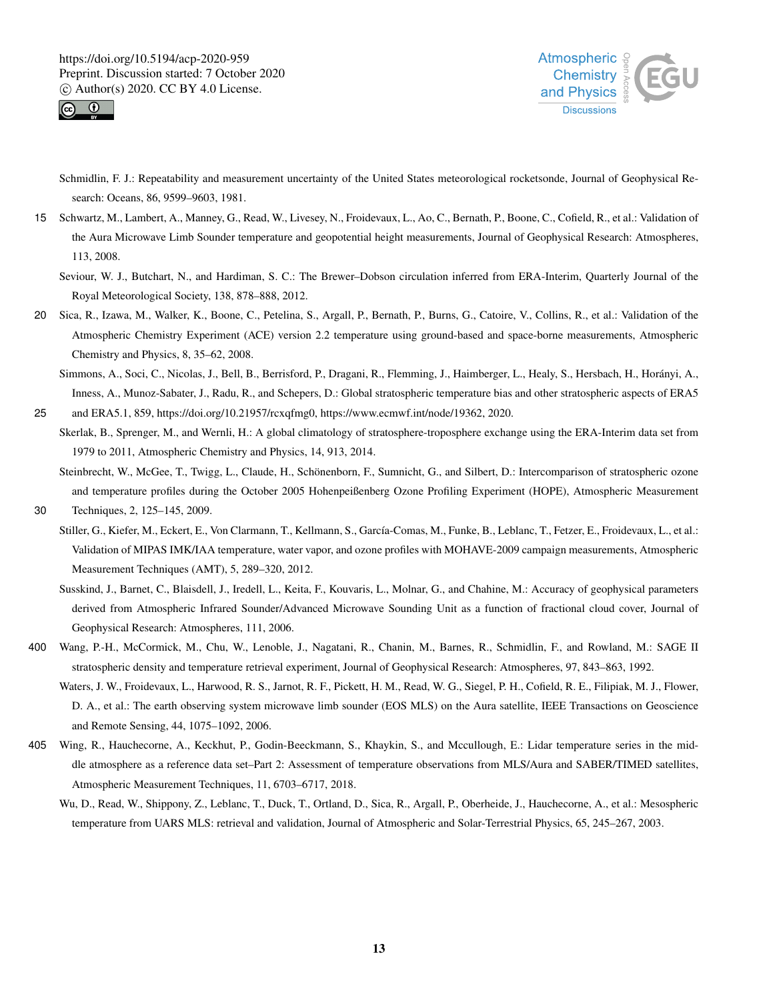



Schmidlin, F. J.: Repeatability and measurement uncertainty of the United States meteorological rocketsonde, Journal of Geophysical Research: Oceans, 86, 9599–9603, 1981.

15 Schwartz, M., Lambert, A., Manney, G., Read, W., Livesey, N., Froidevaux, L., Ao, C., Bernath, P., Boone, C., Cofield, R., et al.: Validation of the Aura Microwave Limb Sounder temperature and geopotential height measurements, Journal of Geophysical Research: Atmospheres, 113, 2008.

Seviour, W. J., Butchart, N., and Hardiman, S. C.: The Brewer–Dobson circulation inferred from ERA-Interim, Quarterly Journal of the Royal Meteorological Society, 138, 878–888, 2012.

20 Sica, R., Izawa, M., Walker, K., Boone, C., Petelina, S., Argall, P., Bernath, P., Burns, G., Catoire, V., Collins, R., et al.: Validation of the Atmospheric Chemistry Experiment (ACE) version 2.2 temperature using ground-based and space-borne measurements, Atmospheric Chemistry and Physics, 8, 35–62, 2008.

Simmons, A., Soci, C., Nicolas, J., Bell, B., Berrisford, P., Dragani, R., Flemming, J., Haimberger, L., Healy, S., Hersbach, H., Horányi, A., Inness, A., Munoz-Sabater, J., Radu, R., and Schepers, D.: Global stratospheric temperature bias and other stratospheric aspects of ERA5

25 and ERA5.1, 859, https://doi.org/10.21957/rcxqfmg0, https://www.ecmwf.int/node/19362, 2020.

Skerlak, B., Sprenger, M., and Wernli, H.: A global climatology of stratosphere-troposphere exchange using the ERA-Interim data set from 1979 to 2011, Atmospheric Chemistry and Physics, 14, 913, 2014.

Steinbrecht, W., McGee, T., Twigg, L., Claude, H., Schönenborn, F., Sumnicht, G., and Silbert, D.: Intercomparison of stratospheric ozone and temperature profiles during the October 2005 Hohenpeißenberg Ozone Profiling Experiment (HOPE), Atmospheric Measurement

30 Techniques, 2, 125–145, 2009.

Stiller, G., Kiefer, M., Eckert, E., Von Clarmann, T., Kellmann, S., García-Comas, M., Funke, B., Leblanc, T., Fetzer, E., Froidevaux, L., et al.: Validation of MIPAS IMK/IAA temperature, water vapor, and ozone profiles with MOHAVE-2009 campaign measurements, Atmospheric Measurement Techniques (AMT), 5, 289–320, 2012.

- Susskind, J., Barnet, C., Blaisdell, J., Iredell, L., Keita, F., Kouvaris, L., Molnar, G., and Chahine, M.: Accuracy of geophysical parameters derived from Atmospheric Infrared Sounder/Advanced Microwave Sounding Unit as a function of fractional cloud cover, Journal of Geophysical Research: Atmospheres, 111, 2006.
- 400 Wang, P.-H., McCormick, M., Chu, W., Lenoble, J., Nagatani, R., Chanin, M., Barnes, R., Schmidlin, F., and Rowland, M.: SAGE II stratospheric density and temperature retrieval experiment, Journal of Geophysical Research: Atmospheres, 97, 843–863, 1992.
	- Waters, J. W., Froidevaux, L., Harwood, R. S., Jarnot, R. F., Pickett, H. M., Read, W. G., Siegel, P. H., Cofield, R. E., Filipiak, M. J., Flower, D. A., et al.: The earth observing system microwave limb sounder (EOS MLS) on the Aura satellite, IEEE Transactions on Geoscience and Remote Sensing, 44, 1075–1092, 2006.
- 405 Wing, R., Hauchecorne, A., Keckhut, P., Godin-Beeckmann, S., Khaykin, S., and Mccullough, E.: Lidar temperature series in the middle atmosphere as a reference data set–Part 2: Assessment of temperature observations from MLS/Aura and SABER/TIMED satellites, Atmospheric Measurement Techniques, 11, 6703–6717, 2018.
	- Wu, D., Read, W., Shippony, Z., Leblanc, T., Duck, T., Ortland, D., Sica, R., Argall, P., Oberheide, J., Hauchecorne, A., et al.: Mesospheric temperature from UARS MLS: retrieval and validation, Journal of Atmospheric and Solar-Terrestrial Physics, 65, 245–267, 2003.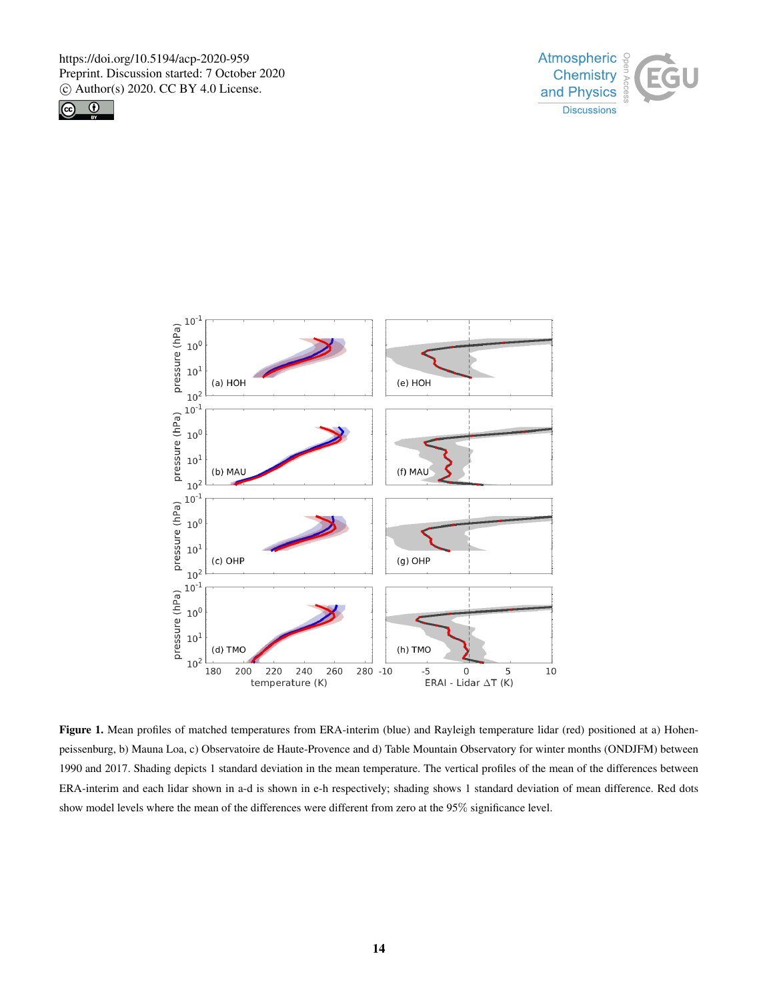





Figure 1. Mean profiles of matched temperatures from ERA-interim (blue) and Rayleigh temperature lidar (red) positioned at a) Hohenpeissenburg, b) Mauna Loa, c) Observatoire de Haute-Provence and d) Table Mountain Observatory for winter months (ONDJFM) between 1990 and 2017. Shading depicts 1 standard deviation in the mean temperature. The vertical profiles of the mean of the differences between ERA-interim and each lidar shown in a-d is shown in e-h respectively; shading shows 1 standard deviation of mean difference. Red dots show model levels where the mean of the differences were different from zero at the 95% significance level.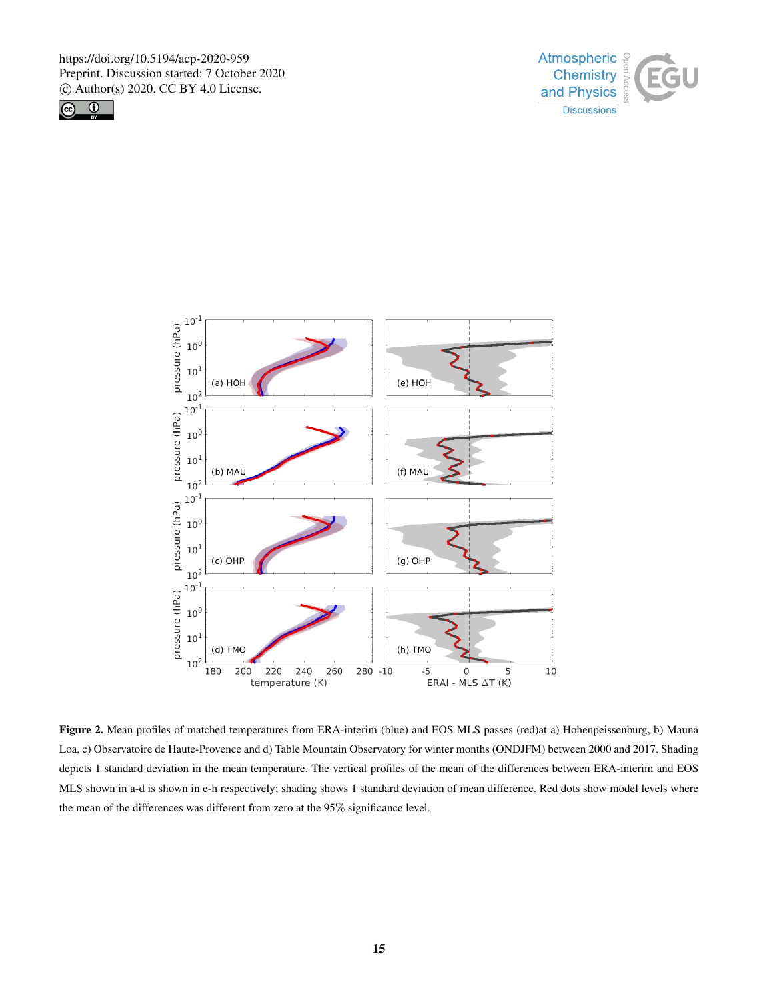





Figure 2. Mean profiles of matched temperatures from ERA-interim (blue) and EOS MLS passes (red)at a) Hohenpeissenburg, b) Mauna Loa, c) Observatoire de Haute-Provence and d) Table Mountain Observatory for winter months (ONDJFM) between 2000 and 2017. Shading depicts 1 standard deviation in the mean temperature. The vertical profiles of the mean of the differences between ERA-interim and EOS MLS shown in a-d is shown in e-h respectively; shading shows 1 standard deviation of mean difference. Red dots show model levels where the mean of the differences was different from zero at the 95% significance level.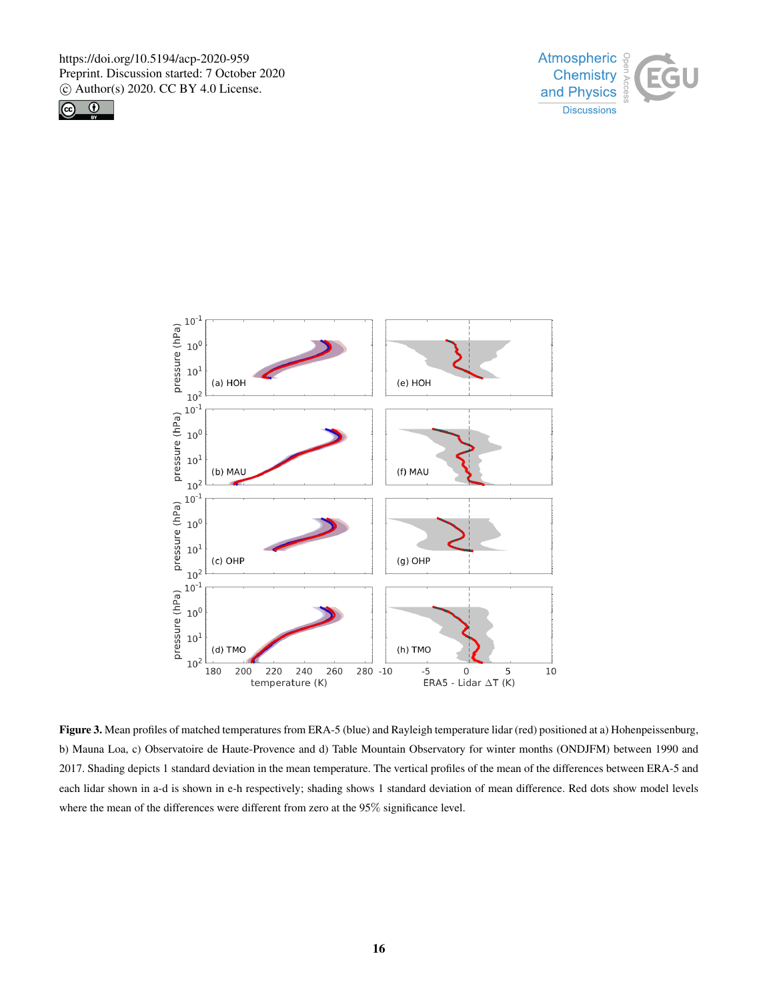





Figure 3. Mean profiles of matched temperatures from ERA-5 (blue) and Rayleigh temperature lidar (red) positioned at a) Hohenpeissenburg, b) Mauna Loa, c) Observatoire de Haute-Provence and d) Table Mountain Observatory for winter months (ONDJFM) between 1990 and 2017. Shading depicts 1 standard deviation in the mean temperature. The vertical profiles of the mean of the differences between ERA-5 and each lidar shown in a-d is shown in e-h respectively; shading shows 1 standard deviation of mean difference. Red dots show model levels where the mean of the differences were different from zero at the 95% significance level.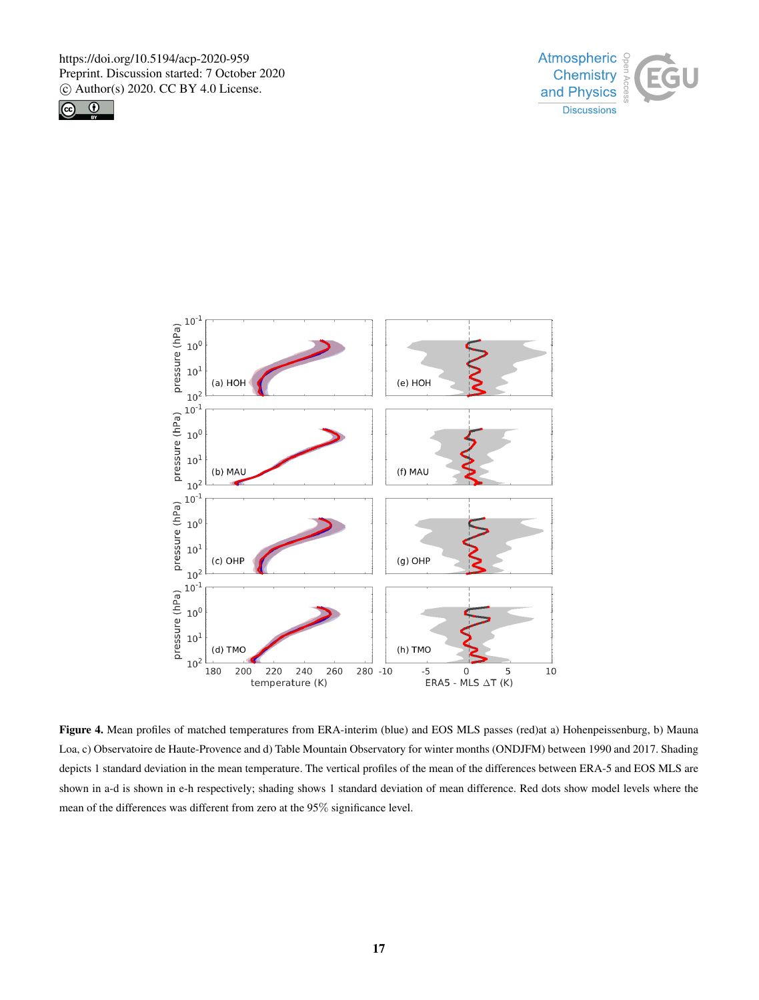





Figure 4. Mean profiles of matched temperatures from ERA-interim (blue) and EOS MLS passes (red)at a) Hohenpeissenburg, b) Mauna Loa, c) Observatoire de Haute-Provence and d) Table Mountain Observatory for winter months (ONDJFM) between 1990 and 2017. Shading depicts 1 standard deviation in the mean temperature. The vertical profiles of the mean of the differences between ERA-5 and EOS MLS are shown in a-d is shown in e-h respectively; shading shows 1 standard deviation of mean difference. Red dots show model levels where the mean of the differences was different from zero at the 95% significance level.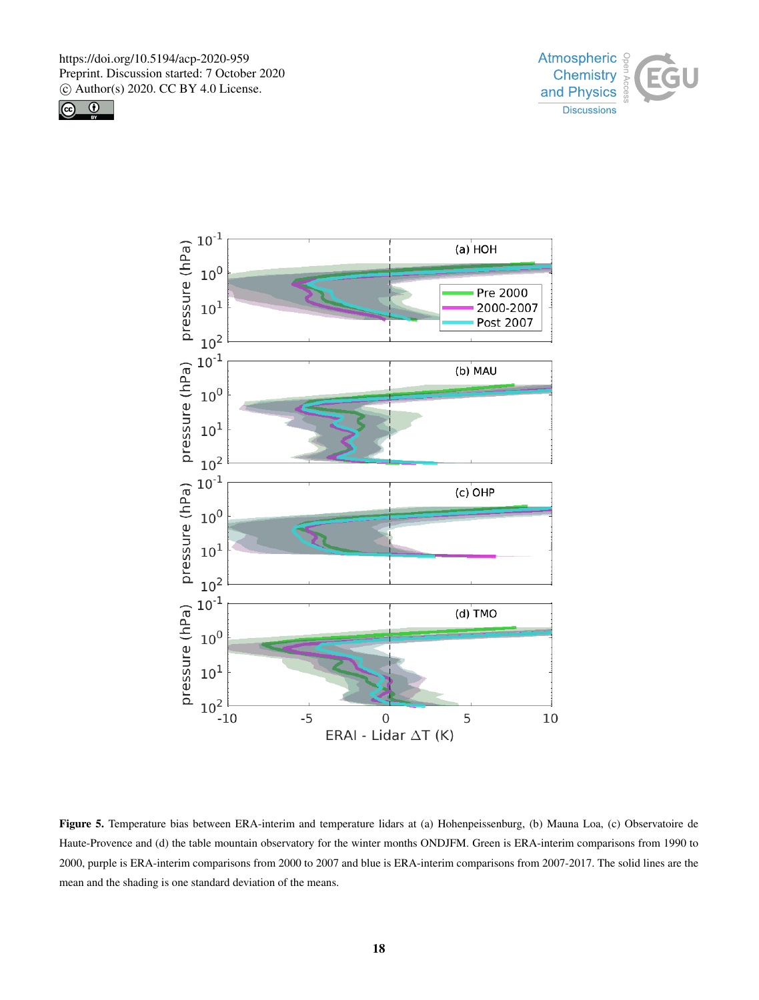





Figure 5. Temperature bias between ERA-interim and temperature lidars at (a) Hohenpeissenburg, (b) Mauna Loa, (c) Observatoire de Haute-Provence and (d) the table mountain observatory for the winter months ONDJFM. Green is ERA-interim comparisons from 1990 to 2000, purple is ERA-interim comparisons from 2000 to 2007 and blue is ERA-interim comparisons from 2007-2017. The solid lines are the mean and the shading is one standard deviation of the means.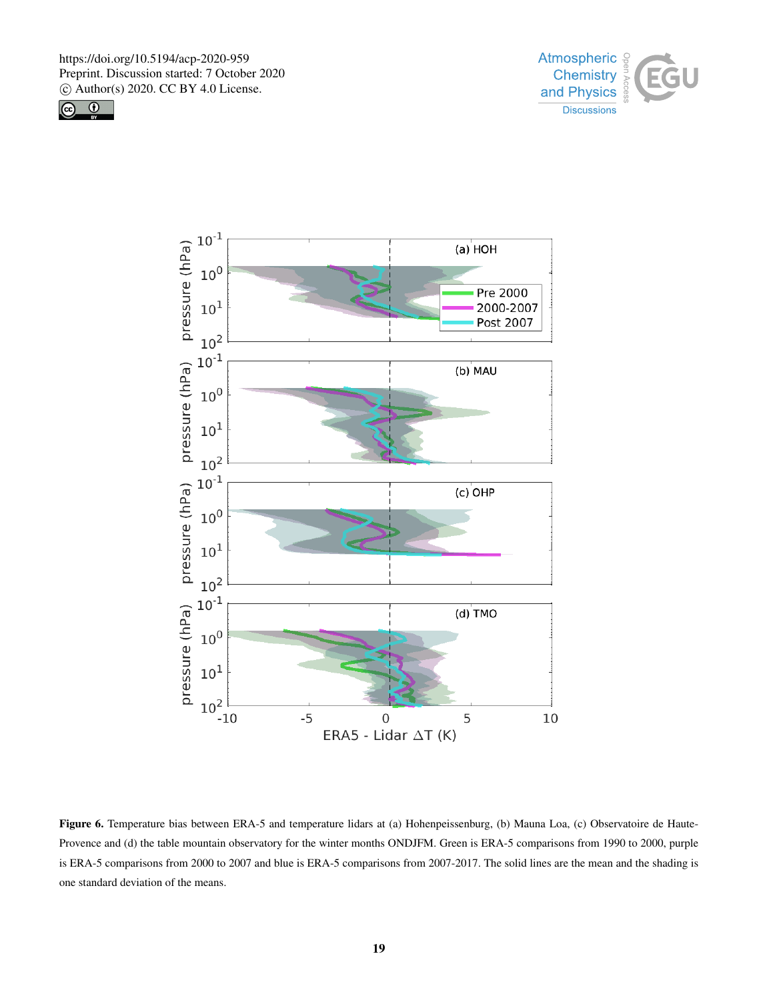





Figure 6. Temperature bias between ERA-5 and temperature lidars at (a) Hohenpeissenburg, (b) Mauna Loa, (c) Observatoire de Haute-Provence and (d) the table mountain observatory for the winter months ONDJFM. Green is ERA-5 comparisons from 1990 to 2000, purple is ERA-5 comparisons from 2000 to 2007 and blue is ERA-5 comparisons from 2007-2017. The solid lines are the mean and the shading is one standard deviation of the means.